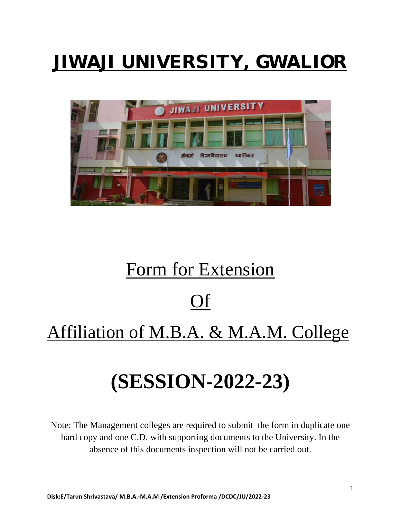# JIWAJI UNIVERSITY, GWALIOR



# Form for Extension Of Affiliation of M.B.A. & M.A.M. College

## **(SESSION-2022-23)**

Note: The Management colleges are required to submit the form in duplicate one hard copy and one C.D. with supporting documents to the University. In the absence of this documents inspection will not be carried out.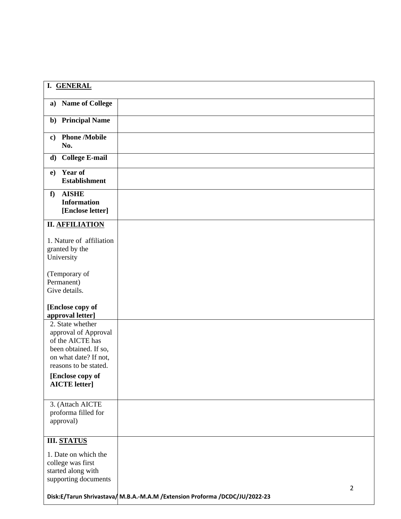| I. GENERAL                                                                                                                              |                                                                                              |
|-----------------------------------------------------------------------------------------------------------------------------------------|----------------------------------------------------------------------------------------------|
| <b>Name of College</b><br>a)                                                                                                            |                                                                                              |
| <b>Principal Name</b><br>$\mathbf{b}$                                                                                                   |                                                                                              |
| <b>Phone /Mobile</b><br>$\bf c)$<br>No.                                                                                                 |                                                                                              |
| <b>College E-mail</b><br>d)                                                                                                             |                                                                                              |
| Year of<br>$\bf{e}$<br><b>Establishment</b>                                                                                             |                                                                                              |
| <b>AISHE</b><br>f<br><b>Information</b><br>[Enclose letter]                                                                             |                                                                                              |
| <b>II. AFFILIATION</b>                                                                                                                  |                                                                                              |
| 1. Nature of affiliation<br>granted by the<br>University                                                                                |                                                                                              |
| (Temporary of<br>Permanent)<br>Give details.                                                                                            |                                                                                              |
| [Enclose copy of<br>approval letter]                                                                                                    |                                                                                              |
| 2. State whether<br>approval of Approval<br>of the AICTE has<br>been obtained. If so,<br>on what date? If not,<br>reasons to be stated. |                                                                                              |
| [Enclose copy of<br><b>AICTE letter]</b>                                                                                                |                                                                                              |
| 3. (Attach AICTE<br>proforma filled for<br>approval)                                                                                    |                                                                                              |
| <b>III. STATUS</b>                                                                                                                      |                                                                                              |
| 1. Date on which the<br>college was first                                                                                               |                                                                                              |
| started along with<br>supporting documents                                                                                              |                                                                                              |
|                                                                                                                                         | $\overline{2}$<br>Disk:E/Tarun Shrivastava/M.B.A.-M.A.M /Extension Proforma /DCDC/JU/2022-23 |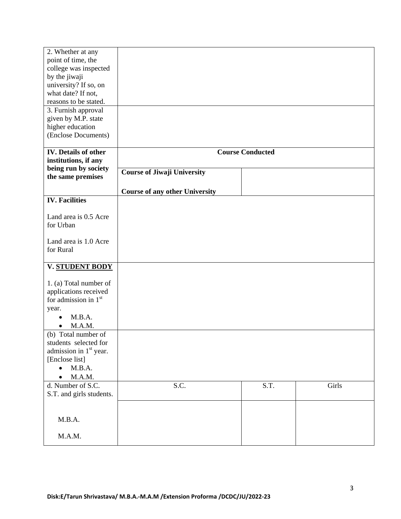| 2. Whether at any                      |                                       |                         |       |
|----------------------------------------|---------------------------------------|-------------------------|-------|
| point of time, the                     |                                       |                         |       |
| college was inspected                  |                                       |                         |       |
|                                        |                                       |                         |       |
| by the jiwaji<br>university? If so, on |                                       |                         |       |
|                                        |                                       |                         |       |
| what date? If not,                     |                                       |                         |       |
| reasons to be stated.                  |                                       |                         |       |
| 3. Furnish approval                    |                                       |                         |       |
| given by M.P. state                    |                                       |                         |       |
| higher education                       |                                       |                         |       |
| (Enclose Documents)                    |                                       |                         |       |
| <b>IV.</b> Details of other            |                                       | <b>Course Conducted</b> |       |
| institutions, if any                   |                                       |                         |       |
| being run by society                   |                                       |                         |       |
| the same premises                      | <b>Course of Jiwaji University</b>    |                         |       |
|                                        |                                       |                         |       |
| <b>IV. Facilities</b>                  | <b>Course of any other University</b> |                         |       |
|                                        |                                       |                         |       |
| Land area is 0.5 Acre                  |                                       |                         |       |
| for Urban                              |                                       |                         |       |
|                                        |                                       |                         |       |
| Land area is 1.0 Acre                  |                                       |                         |       |
| for Rural                              |                                       |                         |       |
|                                        |                                       |                         |       |
| V. STUDENT BODY                        |                                       |                         |       |
|                                        |                                       |                         |       |
| 1. (a) Total number of                 |                                       |                         |       |
| applications received                  |                                       |                         |       |
| for admission in 1st                   |                                       |                         |       |
| year.                                  |                                       |                         |       |
| M.B.A.                                 |                                       |                         |       |
|                                        |                                       |                         |       |
| M.A.M.                                 |                                       |                         |       |
| (b) Total number of                    |                                       |                         |       |
| students selected for                  |                                       |                         |       |
| admission in 1 <sup>st</sup> year.     |                                       |                         |       |
| [Enclose list]                         |                                       |                         |       |
| M.B.A.                                 |                                       |                         |       |
| M.A.M.                                 |                                       |                         |       |
| d. Number of S.C.                      | S.C.                                  | S.T.                    | Girls |
| S.T. and girls students.               |                                       |                         |       |
|                                        |                                       |                         |       |
|                                        |                                       |                         |       |
| M.B.A.                                 |                                       |                         |       |
|                                        |                                       |                         |       |
| M.A.M.                                 |                                       |                         |       |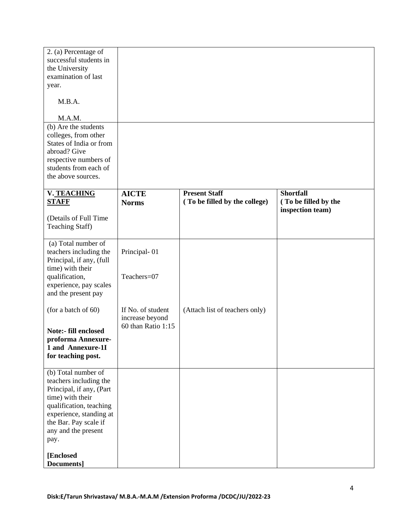| 2. (a) Percentage of<br>successful students in<br>the University<br>examination of last<br>year.<br>M.B.A.                                                                                                                             |                                                            |                                                       |                                                              |
|----------------------------------------------------------------------------------------------------------------------------------------------------------------------------------------------------------------------------------------|------------------------------------------------------------|-------------------------------------------------------|--------------------------------------------------------------|
| M.A.M.<br>(b) Are the students<br>colleges, from other<br>States of India or from<br>abroad? Give<br>respective numbers of<br>students from each of<br>the above sources.                                                              |                                                            |                                                       |                                                              |
| V. TEACHING<br><b>STAFF</b><br>(Details of Full Time<br>Teaching Staff)                                                                                                                                                                | <b>AICTE</b><br><b>Norms</b>                               | <b>Present Staff</b><br>(To be filled by the college) | <b>Shortfall</b><br>(To be filled by the<br>inspection team) |
| (a) Total number of<br>teachers including the<br>Principal, if any, (full<br>time) with their<br>qualification,<br>experience, pay scales<br>and the present pay                                                                       | Principal-01<br>Teachers=07                                |                                                       |                                                              |
| (for a batch of 60)<br><b>Note:- fill enclosed</b><br>proforma Annexure-<br>1 and Annexure-1I<br>for teaching post.                                                                                                                    | If No. of student<br>increase beyond<br>60 than Ratio 1:15 | (Attach list of teachers only)                        |                                                              |
| (b) Total number of<br>teachers including the<br>Principal, if any, (Part<br>time) with their<br>qualification, teaching<br>experience, standing at<br>the Bar. Pay scale if<br>any and the present<br>pay.<br>[Enclosed<br>Documents] |                                                            |                                                       |                                                              |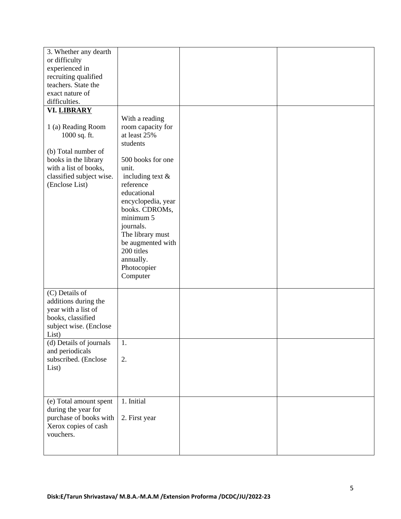| 3. Whether any dearth    |                    |  |
|--------------------------|--------------------|--|
|                          |                    |  |
| or difficulty            |                    |  |
| experienced in           |                    |  |
| recruiting qualified     |                    |  |
| teachers. State the      |                    |  |
| exact nature of          |                    |  |
| difficulties.            |                    |  |
| VI. LIBRARY              |                    |  |
|                          | With a reading     |  |
| 1 (a) Reading Room       | room capacity for  |  |
| 1000 sq. ft.             | at least 25%       |  |
|                          | students           |  |
| (b) Total number of      |                    |  |
| books in the library     | 500 books for one  |  |
| with a list of books,    | unit.              |  |
| classified subject wise. | including text &   |  |
| (Enclose List)           | reference          |  |
|                          | educational        |  |
|                          | encyclopedia, year |  |
|                          | books. CDROMs,     |  |
|                          | minimum 5          |  |
|                          | journals.          |  |
|                          | The library must   |  |
|                          | be augmented with  |  |
|                          | 200 titles         |  |
|                          |                    |  |
|                          | annually.          |  |
|                          | Photocopier        |  |
|                          | Computer           |  |
| $(C)$ Details of         |                    |  |
| additions during the     |                    |  |
| year with a list of      |                    |  |
| books, classified        |                    |  |
|                          |                    |  |
| subject wise. (Enclose   |                    |  |
| List)                    |                    |  |
| (d) Details of journals  | 1.                 |  |
| and periodicals          |                    |  |
| subscribed. (Enclose     | 2.                 |  |
| List)                    |                    |  |
|                          |                    |  |
|                          |                    |  |
|                          |                    |  |
| (e) Total amount spent   | 1. Initial         |  |
| during the year for      |                    |  |
| purchase of books with   | 2. First year      |  |
| Xerox copies of cash     |                    |  |
| vouchers.                |                    |  |
|                          |                    |  |
|                          |                    |  |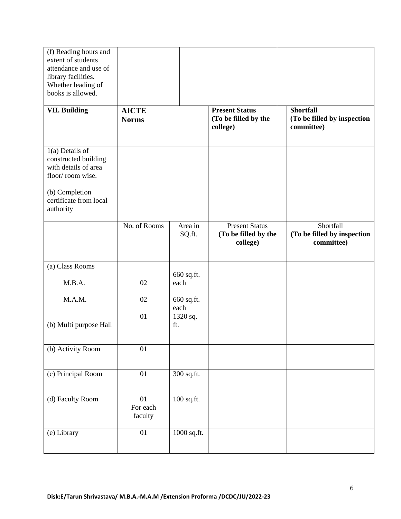| (f) Reading hours and<br>extent of students<br>attendance and use of                  |                              |                    |                                                           |                                                               |
|---------------------------------------------------------------------------------------|------------------------------|--------------------|-----------------------------------------------------------|---------------------------------------------------------------|
| library facilities.                                                                   |                              |                    |                                                           |                                                               |
| Whether leading of<br>books is allowed.                                               |                              |                    |                                                           |                                                               |
|                                                                                       |                              |                    |                                                           |                                                               |
| <b>VII. Building</b>                                                                  | <b>AICTE</b><br><b>Norms</b> |                    | <b>Present Status</b><br>(To be filled by the<br>college) | <b>Shortfall</b><br>(To be filled by inspection<br>committee) |
| $1(a)$ Details of<br>constructed building<br>with details of area<br>floor/room wise. |                              |                    |                                                           |                                                               |
| (b) Completion<br>certificate from local<br>authority                                 |                              |                    |                                                           |                                                               |
|                                                                                       | No. of Rooms                 | Area in<br>SQ.ft.  | <b>Present Status</b><br>(To be filled by the<br>college) | Shortfall<br>(To be filled by inspection<br>committee)        |
| (a) Class Rooms                                                                       |                              |                    |                                                           |                                                               |
| M.B.A.                                                                                | 02                           | 660 sq.ft.<br>each |                                                           |                                                               |
| M.A.M.                                                                                | 02                           | 660 sq.ft.<br>each |                                                           |                                                               |
| (b) Multi purpose Hall                                                                | 01                           | 1320 sq.<br>ft.    |                                                           |                                                               |
| (b) Activity Room                                                                     | 01                           |                    |                                                           |                                                               |
| (c) Principal Room                                                                    | 01                           | 300 sq.ft.         |                                                           |                                                               |
| (d) Faculty Room                                                                      | 01<br>For each<br>faculty    | 100 sq.ft.         |                                                           |                                                               |
| (e) Library                                                                           | 01                           | 1000 sq.ft.        |                                                           |                                                               |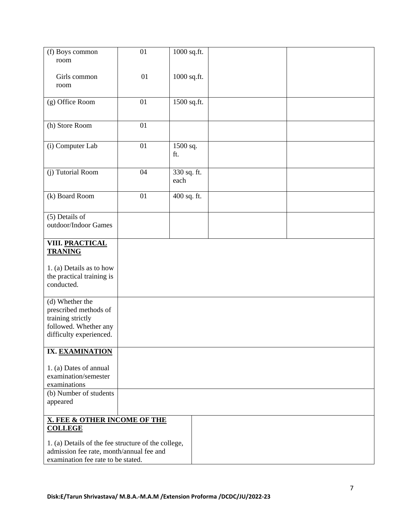| (f) Boys common                                                                                                                       | 01 | 1000 sq.ft.         |  |
|---------------------------------------------------------------------------------------------------------------------------------------|----|---------------------|--|
| room                                                                                                                                  |    |                     |  |
| Girls common<br>room                                                                                                                  | 01 | 1000 sq.ft.         |  |
| (g) Office Room                                                                                                                       | 01 | 1500 sq.ft.         |  |
| (h) Store Room                                                                                                                        | 01 |                     |  |
| (i) Computer Lab                                                                                                                      | 01 | 1500 sq.<br>ft.     |  |
| (j) Tutorial Room                                                                                                                     | 04 | 330 sq. ft.<br>each |  |
| (k) Board Room                                                                                                                        | 01 | 400 sq. ft.         |  |
| (5) Details of<br>outdoor/Indoor Games                                                                                                |    |                     |  |
| VIII. PRACTICAL<br><b>TRANING</b>                                                                                                     |    |                     |  |
| 1. (a) Details as to how<br>the practical training is<br>conducted.                                                                   |    |                     |  |
| (d) Whether the<br>prescribed methods of<br>training strictly<br>followed. Whether any<br>difficulty experienced.                     |    |                     |  |
| IX. EXAMINATION                                                                                                                       |    |                     |  |
| 1. (a) Dates of annual<br>examination/semester<br>examinations                                                                        |    |                     |  |
| (b) Number of students<br>appeared                                                                                                    |    |                     |  |
| <b>X. FEE &amp; OTHER INCOME OF THE</b><br><b>COLLEGE</b>                                                                             |    |                     |  |
| 1. (a) Details of the fee structure of the college,<br>admission fee rate, month/annual fee and<br>examination fee rate to be stated. |    |                     |  |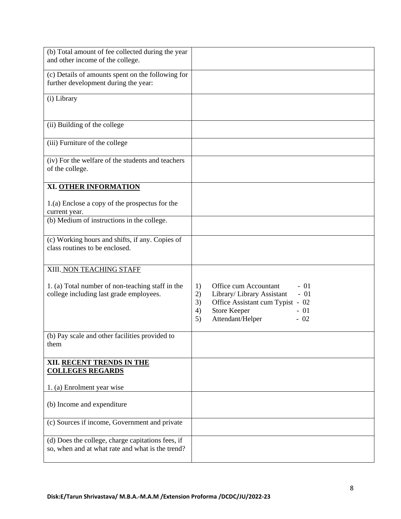| (b) Total amount of fee collected during the year<br>and other income of the college.                 |                                                                                                                                                                                                      |
|-------------------------------------------------------------------------------------------------------|------------------------------------------------------------------------------------------------------------------------------------------------------------------------------------------------------|
| (c) Details of amounts spent on the following for<br>further development during the year:             |                                                                                                                                                                                                      |
| (i) Library                                                                                           |                                                                                                                                                                                                      |
| (ii) Building of the college                                                                          |                                                                                                                                                                                                      |
| (iii) Furniture of the college                                                                        |                                                                                                                                                                                                      |
| (iv) For the welfare of the students and teachers<br>of the college.                                  |                                                                                                                                                                                                      |
| XI. OTHER INFORMATION                                                                                 |                                                                                                                                                                                                      |
| 1.(a) Enclose a copy of the prospectus for the<br>current year.                                       |                                                                                                                                                                                                      |
| (b) Medium of instructions in the college.                                                            |                                                                                                                                                                                                      |
| (c) Working hours and shifts, if any. Copies of<br>class routines to be enclosed.                     |                                                                                                                                                                                                      |
| XIII. NON TEACHING STAFF                                                                              |                                                                                                                                                                                                      |
| 1. (a) Total number of non-teaching staff in the<br>college including last grade employees.           | Office cum Accountant<br>$-01$<br>1)<br>Library/ Library Assistant<br>$-01$<br>2)<br>Office Assistant cum Typist - 02<br>3)<br><b>Store Keeper</b><br>$-01$<br>4)<br>Attendant/Helper<br>$-02$<br>5) |
| (b) Pay scale and other facilities provided to<br>them                                                |                                                                                                                                                                                                      |
| XII. RECENT TRENDS IN THE<br><b>COLLEGES REGARDS</b>                                                  |                                                                                                                                                                                                      |
| 1. (a) Enrolment year wise                                                                            |                                                                                                                                                                                                      |
| (b) Income and expenditure                                                                            |                                                                                                                                                                                                      |
| (c) Sources if income, Government and private                                                         |                                                                                                                                                                                                      |
| (d) Does the college, charge capitations fees, if<br>so, when and at what rate and what is the trend? |                                                                                                                                                                                                      |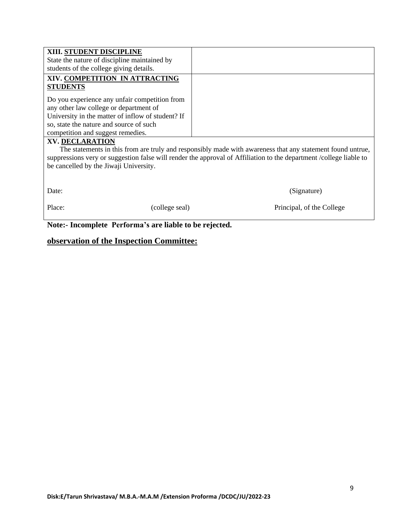| XIII. STUDENT DISCIPLINE                          |                                                                                                                    |
|---------------------------------------------------|--------------------------------------------------------------------------------------------------------------------|
| State the nature of discipline maintained by      |                                                                                                                    |
| students of the college giving details.           |                                                                                                                    |
| XIV. COMPETITION IN ATTRACTING                    |                                                                                                                    |
| <b>STUDENTS</b>                                   |                                                                                                                    |
| Do you experience any unfair competition from     |                                                                                                                    |
| any other law college or department of            |                                                                                                                    |
| University in the matter of inflow of student? If |                                                                                                                    |
| so, state the nature and source of such           |                                                                                                                    |
| competition and suggest remedies.                 |                                                                                                                    |
| <b>XV. DECLARATION</b>                            |                                                                                                                    |
|                                                   | The statements in this from are truly and responsibly made with awareness that any statement found untrue,         |
|                                                   | suppressions very or suggestion false will render the approval of Affiliation to the department /college liable to |
| be cancelled by the Jiwaji University.            |                                                                                                                    |
|                                                   |                                                                                                                    |
| Date:                                             | (Signature)                                                                                                        |
|                                                   |                                                                                                                    |
| Place:<br>(college seal)                          | Principal, of the College                                                                                          |
|                                                   |                                                                                                                    |

**Note:- Incomplete Performa's are liable to be rejected.**

#### **observation of the Inspection Committee:**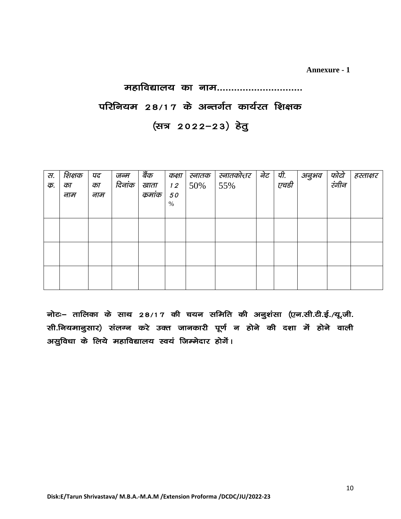**Annexure - 1**

## महाविद्यालय का नाम.............................. परिनियम 28/17 के अन्तर्गत कार्यरत शिक्षक (सत्र 2022-23) हेतु

| स.<br>क. | शिक्षक<br>का<br>नाम | पद<br>का<br>नाम | जन्म<br>दिनांक | बैंक<br>खाता<br>कुमांक | कक्षा<br>12<br>50<br>$\%$ | स्नातक<br>50% | स्नातकोत्तर<br>55% | नेट | पी.<br>एचडी | अनुभव | फोटो<br>रंगीन | हस्ताक्षर |
|----------|---------------------|-----------------|----------------|------------------------|---------------------------|---------------|--------------------|-----|-------------|-------|---------------|-----------|
|          |                     |                 |                |                        |                           |               |                    |     |             |       |               |           |
|          |                     |                 |                |                        |                           |               |                    |     |             |       |               |           |
|          |                     |                 |                |                        |                           |               |                    |     |             |       |               |           |

नोटः– तालिका के साथ 28/17 की चयन समिति की अनुशंसा (एन.सी.टी.ई./यू.जी. सी.नियमानुसार) संलग्न करे उक्त जानकारी पूर्ण न होने की दशा में होने वाली असुविधा के लिये महाविद्यालय स्वयं जिम्मेदार होगें।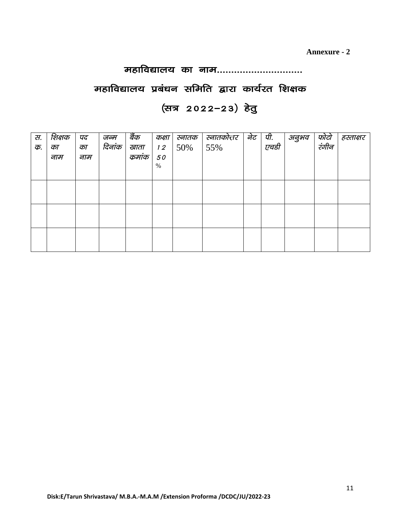**Annexure - 2**

#### महाविद्यालय का नाम..............................

#### महाविद्यालय प्रबंधन समिति द्वारा कार्यरत शिक्षक

#### (सत्र 2022-23) हेतु

| स.<br>क्र. | शिक्षक<br>का | पद<br>का | जन्म<br>दिनांक | बैंक<br>खाता | कक्षा<br>12 | स्नातक<br>50% | स्नातकोत्तर<br>55% | नेट | पी.<br>एचडी | अनुभव | फोटो<br>रंगीन | हस्ताक्षर |
|------------|--------------|----------|----------------|--------------|-------------|---------------|--------------------|-----|-------------|-------|---------------|-----------|
|            | नाम          | नाम      |                | कुमांक       | 50<br>$\%$  |               |                    |     |             |       |               |           |
|            |              |          |                |              |             |               |                    |     |             |       |               |           |
|            |              |          |                |              |             |               |                    |     |             |       |               |           |
|            |              |          |                |              |             |               |                    |     |             |       |               |           |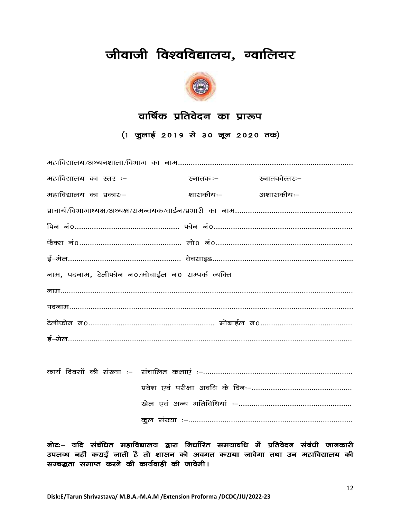### जीवाजी विश्वविद्यालय, ग्वालियर



#### वार्षिक प्रतिवेदन का प्रारूप

(1 जुलाई 2019 से 30 जून 2020 तक)

| महाविद्यालय का स्तर :–                           | स्नातक :–          | स्नातकोत्तरः– |
|--------------------------------------------------|--------------------|---------------|
| महाविद्यालय का प्रकारः–                          | शासकीयः– अशासकीयः– |               |
|                                                  |                    |               |
|                                                  |                    |               |
|                                                  |                    |               |
|                                                  |                    |               |
| नाम, पदनाम, टेलीफोन न0/मोबाईल न0 सम्पर्क व्यक्ति |                    |               |
|                                                  |                    |               |
|                                                  |                    |               |
|                                                  |                    |               |
|                                                  |                    |               |

नोटः– यदि संबंधित महाविद्यालय द्वारा निर्धारित समयावधि में प्रतिवेदन संबंधी जानकारी उपलब्ध नहीं कराई जाती है तो शासन को अवगत कराया जावेगा तथा उन महाविद्यालय की सम्बद्धता समाप्त करने की कार्यवाही की जावेगी।